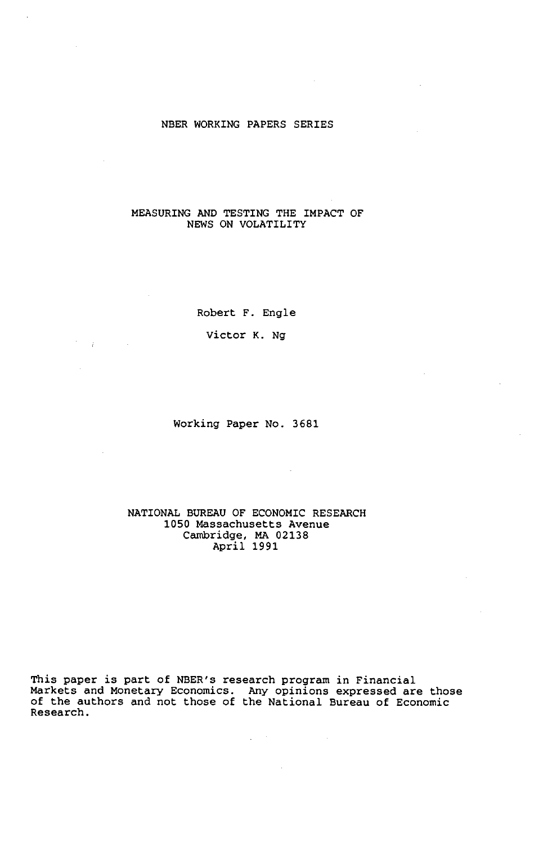#### NBER WORKING PAPERS SERIES

### MEASURING AND TESTING THE IMPACT OF NEWS ON VOLATILITY

Robert F. Engle

Victor K. Ng

 $\mathcal{L}^{\text{max}}$ 

Working Paper No. 3681

### NATIONAL BUREAU OF ECONOMIC RESEARCH 1050 Massachusetts Avenue Cambridge, MA 02138 April 1991

This paper is part of NBER's research program in Financial Markets and Monetary Economics. Any opinions expressed are those of the authors and not those of the National Bureau of Economic Research.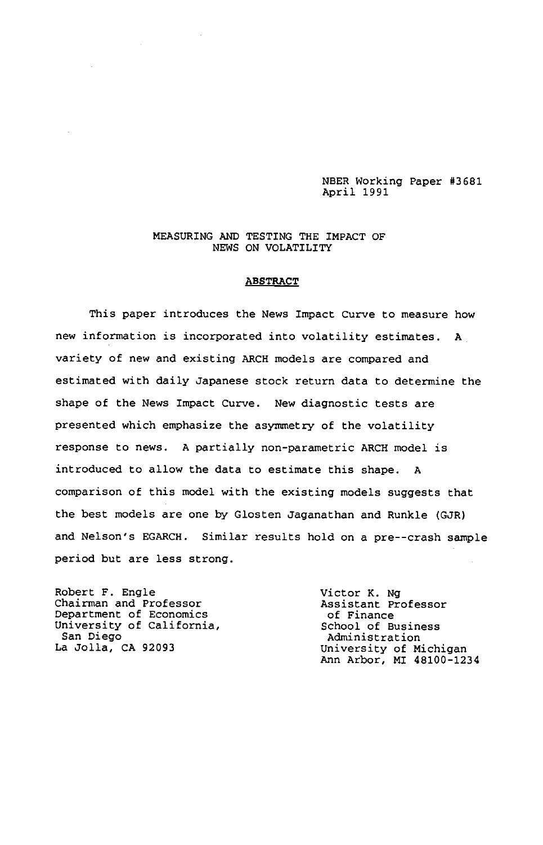NBER Working Paper #3681 April 1991

#### MEASURING AND TESTING THE IMPACT OF NEWS ON VOLATILITY

### ABSTRACT

This paper introduces the News Impact Curve to measure how new information is incorporated into volatility estimates. A variety of new and existing ARCH models are compared and estimated with daily Japanese stock return data to determine the shape of the News Impact Curve. New diagnostic tests are presented which emphasize the asymmetry of the volatility response to news. A partially non-parametric ARCH model is introduced to allow the data to estimate this shape. A comparison of this model with the existing models suggests that the best models are one by Glosten Jaganathan and Runkle (GJR) and Nelson's EGARCH. Similar results hold on a pre--crash sample period but are less strong.

Robert F. Engle<br>
Chairman and Professor<br>
Assistant Professor<br>
Assistant Professor Chairman and Professor Assistant Professor Department of Economics of Finance University of California, The School of Business San Diego Administration

La Jolla, CA 92093 University of Michigan Ann Arbor, MI 48100-1234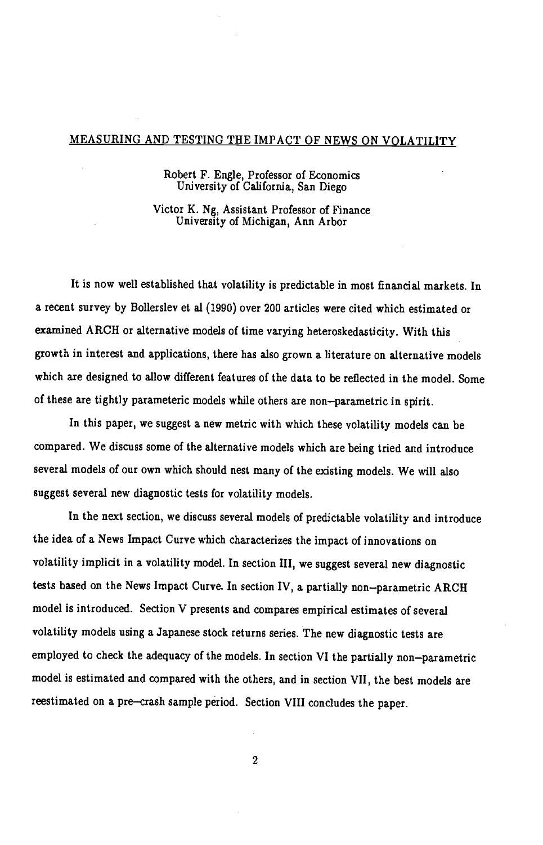## MEASURING AND TESTING THE IMPACT OF NEWS ON VOLATILITY

### Robert F. Engle, Professor of Economics University of California, San Diego

Victor K. Ng, Assistant Professor of Finance University of Michigan, Ann Arbor

It is now well established that volatility is predictable in most financial markets. In a recent survey by Bollerslev et al (1990) over 200 articles were cited which estimated or examined ARCH or alternative models of time varying heteroskedasticity. With this growth in interest and applications, there has also grown a literature on alternative models which are designed to allow different features of the data to be reflected in the model. Some of these are tightly parameteric models while others are non—parametric in spirit.

In this paper, we suggest a new metric with which these volatility models can be compared. We discuss some of the alternative models which are being tried and introduce several models of our own which should nest many of the existing models. We will also suggest several new diagnostic tests for volatility models.

In the next section, we discuss several models of predictable volatility and introduce the idea of a News Impact Curve which characterizes the impact of innovations on volatility implicit in a volatility model. In section III, we suggest several new diagnostic tests based on the News Impact Curve. In section IV, a partially non—parametric ARCH model is introduced. Section V presents and compares empirical estimates of several volatility models using a Japanese stock returns series. The new diagnostic tests are employed to check the adequacy of the models. In section VI the partially non—parametric model is estimated and compared with the others, and in section VII, the best models are reestimated on a pre—crash sample period. Section VIII concludes the paper.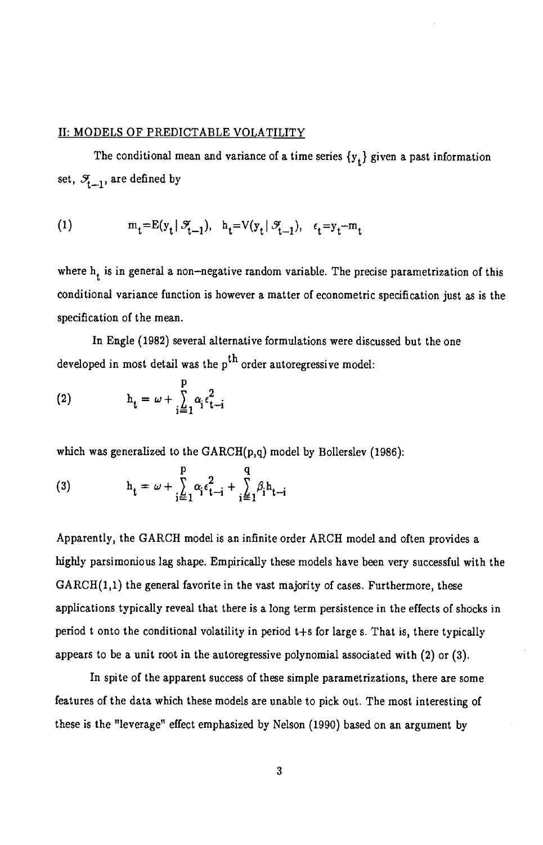## II: MODELS OF PREDICTABLE VOLATILITY

The conditional mean and variance of a time series  $\{y_t\}$  given a past information set,  $\mathcal{F}_{t-1}$ , are defined by

(1) 
$$
m_t = E(y_t | \mathcal{F}_{t-1}), h_t = V(y_t | \mathcal{F}_{t-1}), \epsilon_t = y_t - m_t
$$

where  $h_t$  is in general a non-negative random variable. The precise parametrization of this conditional variance function is however a matter of econometric specification just as is the specification of the mean.

In Engle (1982) several alternative formulations were discussed but the one developed in most detail was the  $p^{th}$  order autoregressive model:

$$
\text{(2)} \quad \mathbf{h}_{\mathbf{t}} = \omega + \sum_{i=1}^{p} \alpha_i \epsilon_{\mathbf{t} - i}^2
$$

which was generalized to the  $GARCH(p,q)$  model by Bollerslev (1986):

(3) 
$$
h_{t} = \omega + \sum_{i=1}^{p} \alpha_{i} \epsilon_{t-i}^{2} + \sum_{i=1}^{q} \beta_{i} h_{t-i}
$$

Apparently, the GARCH model is an infinite order ARCH model and often provides a highly parsimonious lag shape. Empirically these models have been very successful with the  $GARCH(1,1)$  the general favorite in the vast majority of cases. Furthermore, these applications typically reveal that there is a long term persistence in the effects of shocks in period t onto the conditional volatility in period t+s for large s. That is, there typically appears to be a unit root in the autoregressive polynomial associated with (2) or (3).

In spite of the apparent success of these simple parametrizations, there are some features of the data which these models are unable to pick out. The most interesting of these is the "leverage" effect emphasized by Nelson (1990) based on an argument by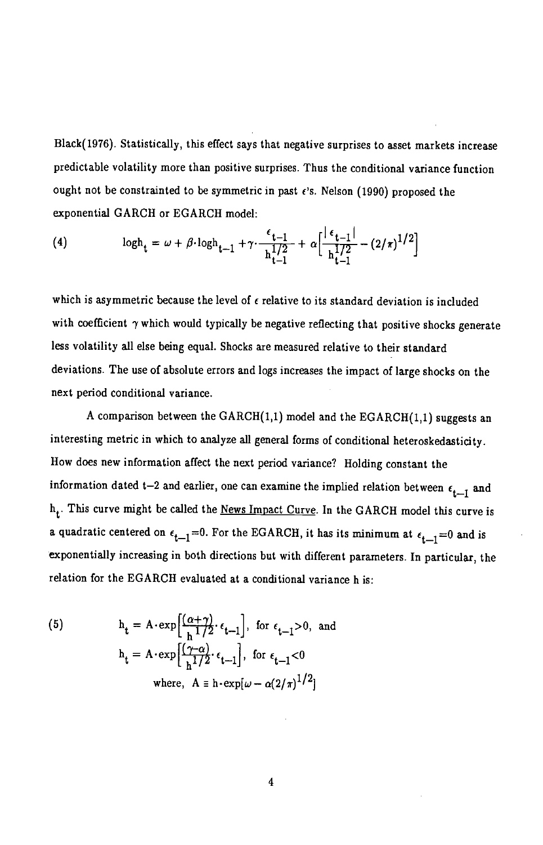Black(1976). Statistically, this effect says that negative surprises to asset markets increase predictable volatility more than positive surprises. Thus the conditional variance function ought not be constrainted to be symmetric in past  $\epsilon$ 's. Nelson (1990) proposed the exponential GARCH or EGARCH model:

(4) 
$$
\log h_t = \omega + \beta \cdot \log h_{t-1} + \gamma \cdot \frac{\epsilon_{t-1}}{h_{t-1}^{1/2}} + \alpha \left[ \frac{|\epsilon_{t-1}|}{h_{t-1}^{1/2}} - (2/\pi)^{1/2} \right]
$$

which is asymmetric because the level of  $\epsilon$  relative to its standard deviation is included with coefficient  $\gamma$  which would typically be negative reflecting that positive shocks generate less volatility all else being equal. Shocks are measured relative to their standard deviations. The use of absolute errors and logs increases the impact of large shocks on the next period conditional variance.

A comparison between the  $GARCH(1,1)$  model and the  $EGARCH(1,1)$  suggests an interesting metric in which to analyze all general forms of conditional heteroskedasticity. How does new information affect the next period variance? Holding constant the information dated t-2 and earlier, one can examine the implied relation between  $\epsilon_{t-1}$  and  $h_t$ . This curve might be called the News Impact Curve. In the GARCH model this curve is a quadratic centered on  $\epsilon_{t-1} = 0$ . For the EGARCH, it has its minimum at  $\epsilon_{t-1} = 0$  and is exponentially increasing in both directions but with different parameters. In particular, the relation for the EGARCH evaluated at a conditional variance h is:

(5) 
$$
h_{t} = A \cdot \exp\left[\frac{(\alpha + \gamma)}{h^{1/2}} \cdot \epsilon_{t-1}\right], \text{ for } \epsilon_{t-1} > 0, \text{ and}
$$

$$
h_{t} = A \cdot \exp\left[\frac{(\gamma - \alpha)}{h^{1/2}} \cdot \epsilon_{t-1}\right], \text{ for } \epsilon_{t-1} < 0
$$

$$
\text{where, } A \equiv h \cdot \exp[\omega - \alpha(2/\pi)^{1/2}]
$$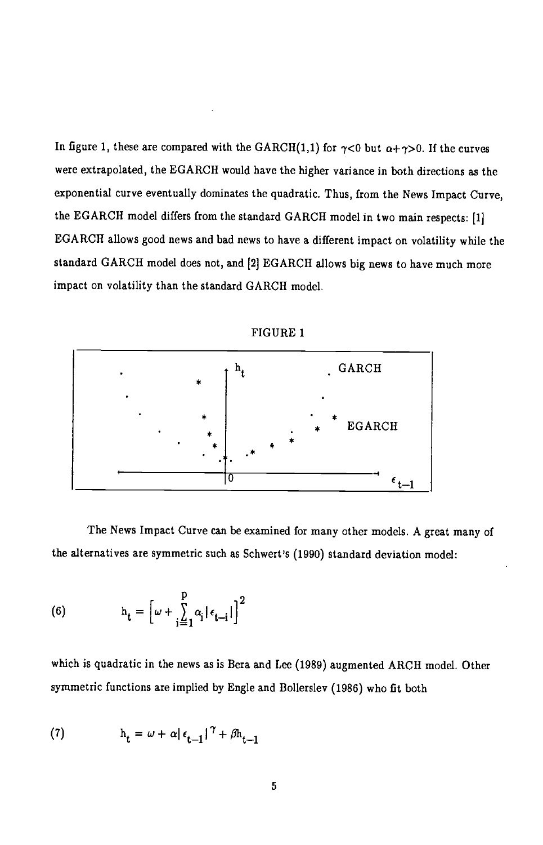In figure 1, these are compared with the GARCH(1,1) for  $\gamma$ <0 but  $\alpha + \gamma > 0$ . If the curves were extrapolated, the EGARCH would have the higher variance in both directions as the exponential curve eventually dominates the quadratic. Thus, from the News Impact Curve, the EGARCH model differs from the standard GARCH model in two main respects: [1] EGARCH allows good news and bad news to have a different impact on volatility while the standard GARCH model does not, and [2] EGARCH allows big news to have much more impact on volatility than the standard GARCH model.



FIGURE 1

The News Impact Curve can be examined for many other models. A great many of the alternatives are symmetric such as Schwert's (1990) standard deviation model:

(6) 
$$
h_t = \left[\omega + \sum_{i=1}^p \alpha_i |\epsilon_{t-i}| \right]^2
$$

which is quadratic in the news as is Bera and Lee (1989) augmented ARCH model. Other symmetric functions are implied by Engle and Bollerslev (1986) who fit both

$$
h_t = \omega + \alpha \left| \epsilon_{t-1} \right|^\gamma + \beta h_{t-1}
$$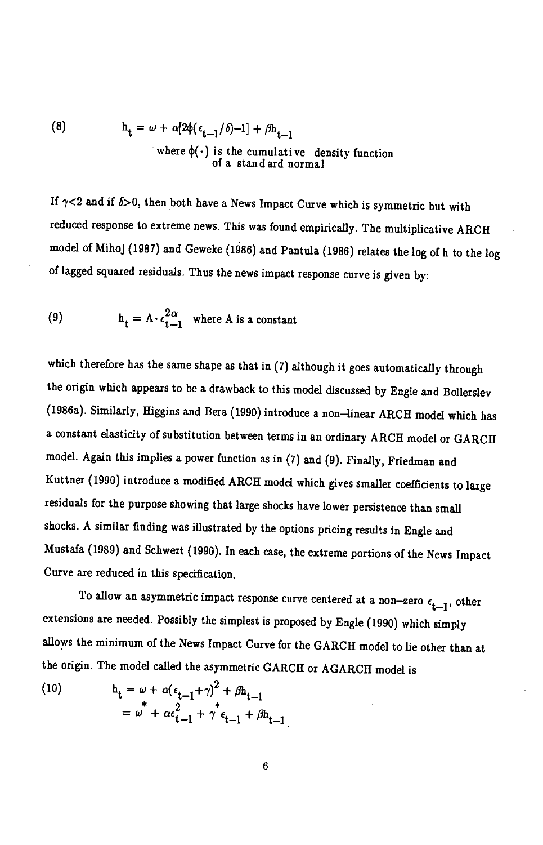(8) 
$$
h_t = \omega + \alpha [2\phi(\epsilon_{t-1}/\delta)^{-1}] + \beta h_{t-1}
$$
  
where  $\phi(\cdot)$  is the cumulative density function  
of a stand and normal

If  $\gamma$ <2 and if  $\delta$ >0, then both have a News Impact Curve which is symmetric but with reduced response to extreme news. This was found empirically. The multiplicative ARCH model of Mihoj (1987) and Geweke (1986) and Pantula (1986) relates the log of h to the log of lagged squared residuals. Thus the news impact response curve is given by:

(9) 
$$
h_t = A \cdot \epsilon_{t-1}^{2\alpha} \text{ where } A \text{ is a constant}
$$

which therefore has the same shape as that in (7) although it goes automatically through the origin which appears to be a drawback to this model discussed by Engle and Bollerslev (1986a). Similarly, Higgins and Bera (1990) introduce a non—linear ARCH model which has a constant elasticity of substitution between terms in an ordinary ARCH model or GARCH model. Again this implies a power function as in (7) and (9). Finally, Friedman and Kuttner (1990) introduce a modified ARCH model which gives smaller coefficients to large residuals for the purpose showing that large shocks have lower persistence than small shocks. A similar finding was illustrated by the options pricing results in Engle and Mustafa (1989) and Schwert (1990). In each case, the extreme portions of the News Impact Curve are reduced in this specification.

To allow an asymmetric impact response curve centered at a non-zero  $\epsilon_{t-1}$ , other extensions are needed. Possibly the simplest is proposed by Engle (1990) which simply allows the minimum of the News Impact Curve for the GARCH model to lie other than at the origin. The model called the asymmetric GARCH or AGARCH model is

(10) 
$$
h_t = \omega + \alpha (\epsilon_{t-1} + \gamma)^2 + \beta h_{t-1} = \omega^* + \alpha \epsilon_{t-1}^2 + \gamma^* \epsilon_{t-1} + \beta h_{t-1}
$$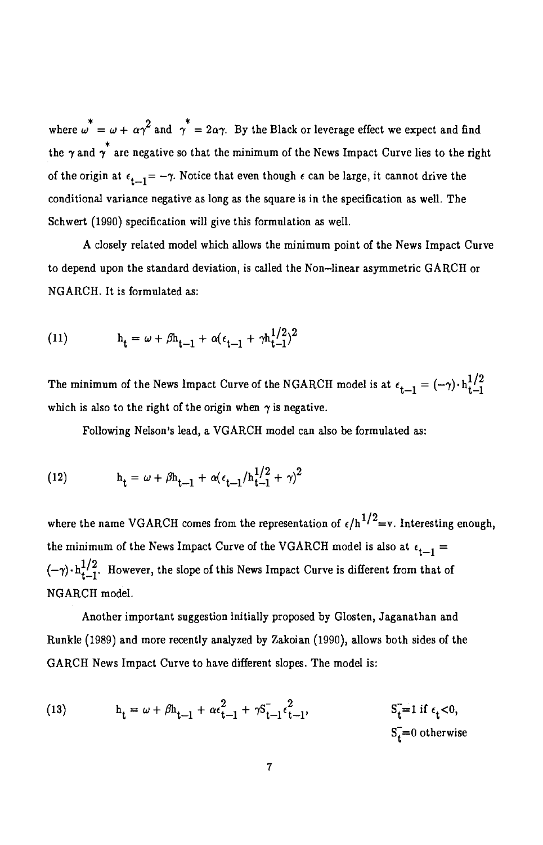where  $\omega^* = \omega + \alpha \gamma^2$  and  $\gamma^* = 2\alpha \gamma$ . By the Black or leverage effect we expect and find the  $\gamma$  and  $\gamma^{*}$  are negative so that the minimum of the News Impact Curve lies to the right of the origin at  $\epsilon_{t-1} = -\gamma$ . Notice that even though  $\epsilon$  can be large, it cannot drive the conditional variance negative as long as the square is in the specification as well. The Schwert (1990) specification will give this formulation as well.

A closely related model which allows the minimum point of the News Impact Curve to depend upon the standard deviation, is called the Non—linear asymmetric GARCH or NGARCH. It is formulated as:

(11) 
$$
h_t = \omega + \beta h_{t-1} + \alpha (\epsilon_{t-1} + \gamma h_{t-1}^{1/2})^2
$$

The minimum of the News Impact Curve of the NGARCH model is at  $\epsilon_{t-1} = (-\gamma) \cdot h_{t-1}^{1/2}$ which is also to the right of the origin when  $\gamma$  is negative.

Following Nelson's lead, a VGARCH model can also be formulated as:

 $\sim$ 

(12) 
$$
h_t = \omega + \beta h_{t-1} + \alpha (\epsilon_{t-1}/h_{t-1}^{1/2} + \gamma)^2
$$

where the name VGARCH comes from the representation of  $\epsilon/h^{1/2}=v$ . Interesting enough, the minimum of the News Impact Curve of the VGARCH model is also at  $\epsilon_{t-1}$  =  $(-\gamma) \cdot h_{t-1}^{1/2}$ . However, the slope of this News Impact Curve is different from that of NGARCH model.

Another important suggestion initially proposed by Glosten, Jaganathan and Runkle (1989) and more recently analyzed by Zakoian (1990), allows both sides of the GARCH News Impact Curve to have different slopes. The model is:

(13) 
$$
h_{t} = \omega + \beta h_{t-1} + \alpha \epsilon_{t-1}^{2} + \gamma S_{t-1}^{-} \epsilon_{t-1}^{2}, \qquad S_{t}^{-} = 1 \text{ if } \epsilon_{t} < 0, S_{t}^{-} = 0 \text{ otherwise}
$$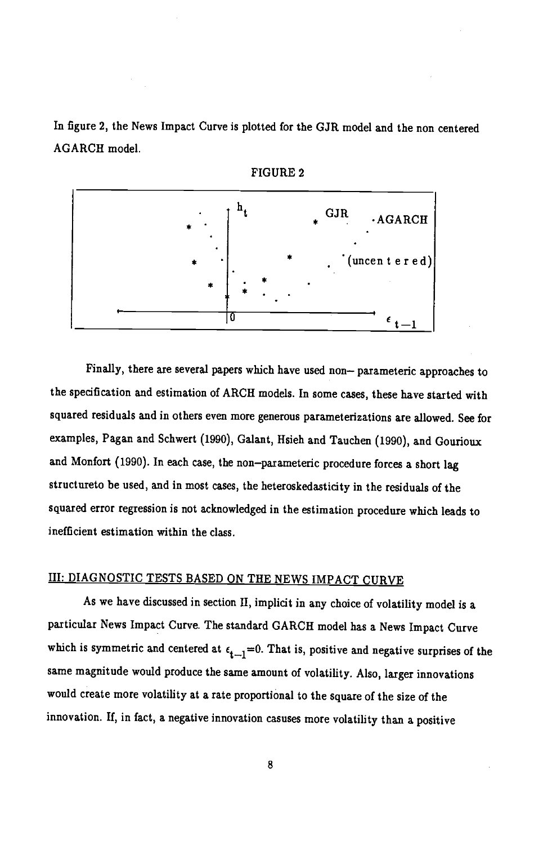In figure 2, the News Impact Curve is plotted for the GJR model and the non centered AGARCH model.





Finally, there are several papers which have used non— parameteric approaches to the specification and estimation of ARCH models. In some cases, these have started with squared residuals and in others even more generous parameterizations are allowed. See for examples, Pagan and Schwert (1990), Galant, Hsieh and Tauchen (1990), and Gourioux and Monfort (1990). In each case, the non—parameteric procedure forces a short lag structureto be used, and in most cases, the heteroskedasticity in the residuals of the squared error regression is not acknowledged in the estimation procedure which leads to inefficient estimation within the class.

# III: DIAGNOSTIC TESTS BASED ON THE NEWS IMPACT CURVE

As we have discussed in section II, implicit in any choice of volatility model is a particular News Impact Curve. The standard GARCH model has a News Impact Curve which is symmetric and centered at  $\epsilon_{t-1}=0$ . That is, positive and negative surprises of the same magnitude would produce the same amount of volatility. Also, larger innovations would create more volatility at a rate proportional to the square of the size of the innovation. If, in fact, a negative innovation casuses more volatility than a positive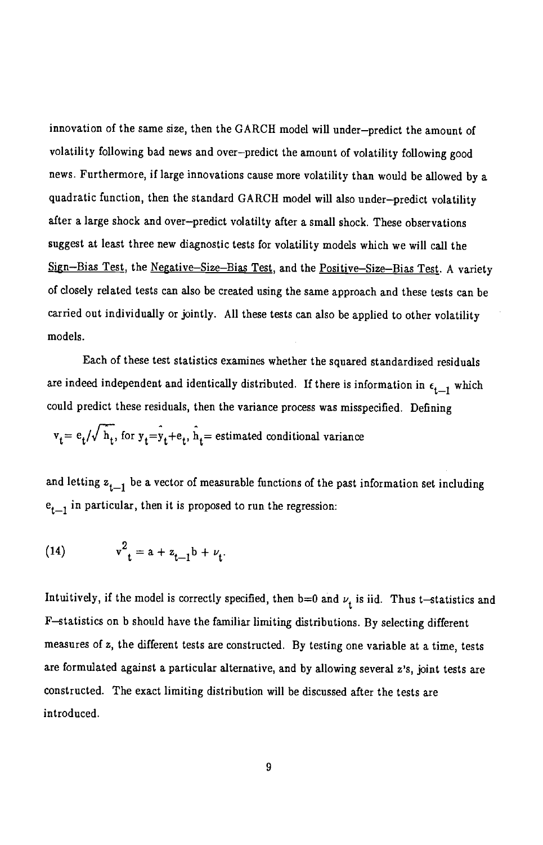innovation of the same size, then the GARCII model will under—predict the amount of volatility following bad news and over—predict the amount of volatility following good news. Furthermore, if large innovations cause more volatility than would be allowed by a quadratic function, then the standard GARCH model will also under—predict volatility after a large shock and over—predict volatilty after a small shock. These observations suggest at least three new diagnostic tests for volatility models which we will call the Sign—Bias Test, the Negative—Size—Bias Test, and the Positive—Size—Bias Test. A variety of closely related tests can also be created using the same approach and these tests can be carried out individually or jointly. All these tests can also be applied to other volatility models.

Each of these test statistics examines whether the squared standardized residuals are indeed independent and identically distributed. If there is information in  $\epsilon_{t-1}$  which could predict these residuals, then the variance process was misspecified. Defining

$$
v_t = e_t / \sqrt{h_t}
$$
, for  $y_t = y_t + e_t$ ,  $\hat{h}_t$  = estimated conditional variance

and letting  $z_{t-1}$  be a vector of measurable functions of the past information set including  $e_{t-1}$  in particular, then it is proposed to run the regression:

(14) 
$$
v^2_{t} = a + z_{t-1}b + \nu_t.
$$

Intuitively, if the model is correctly specified, then b=0 and  $\nu_i$  is iid. Thus t-statistics and F—statistics on b should have the familiar limiting distributions. By selecting different measures of z, the different tests are constructed. By testing one variable at a time, tests are formulated against a particular alternative, and by allowing several z's, joint tests are constructed. The exact limiting distribution will be discussed after the tests are introduced.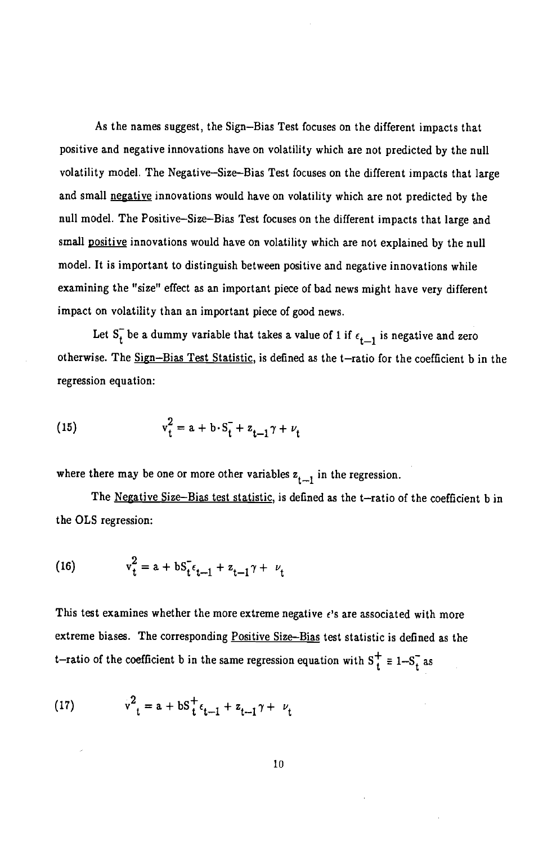As the names suggest, the Sign—Bias Test focuses on the different impacts that positive and negative innovations have on volatility which are not predicted by the null volatility model. The Negative—Size—Bias Test focuses on the different impacts that large and small negative innovations would have on volatility which are not predicted by the null model. The Positive—Size—Bias Test focuses on the different impacts that large and small positive innovations would have on volatility which are not explained by the null model. It is important to distinguish between positive and negative innovations while examining the "size" effect as an important piece of bad news might have very different impact on volatility than an important piece of good news.

Let  $S_t^-$  be a dummy variable that takes a value of 1 if  $\epsilon_{t-1}$  is negative and zero otherwise. The Sign—Bias Test Statistic, is defined as the t—ratio for the coefficient b in the regression equation:

(15) 
$$
v_t^2 = a + b \cdot S_t^- + z_{t-1} \gamma + \nu_t
$$

where there may be one or more other variables  $z_{t-1}$  in the regression.

The Negative Size-Bias test statistic, is defined as the t—ratio of the coefficient b in the OLS regression:

(16) 
$$
v_t^2 = a + bS_t^{\dagger} \epsilon_{t-1} + z_{t-1} \gamma + \nu_t
$$

This test examines whether the more extreme negative  $\epsilon$ 's are associated with more extreme biases. The corresponding Positive Size—Bias test statistic is defined as the t-ratio of the coefficient b in the same regression equation with  $S_t^+ \equiv 1-S_t^-$  as

(17) 
$$
v^2_t = a + bS_t^+ \epsilon_{t-1} + z_{t-1} \gamma + \nu_t
$$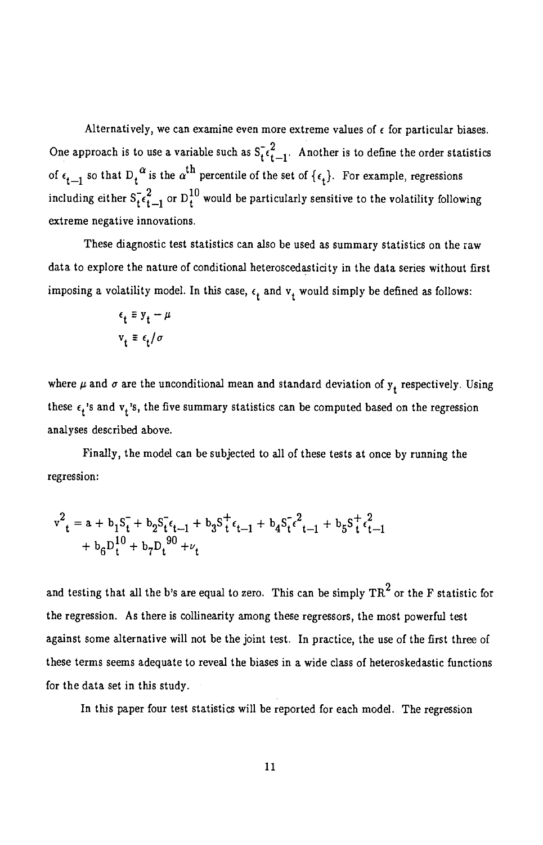Alternatively, we can examine even more extreme values of  $\epsilon$  for particular biases. One approach is to use a variable such as  $S_t^2$ , Another is to define the order statistics of  $\epsilon_{t-1}$  so that  $D_t^{\alpha}$  is the  $\alpha^{th}$  percentile of the set of  $\{\epsilon_t\}$ . For example, regressions including either  $S_{t}^{-2}$  or  $D_{t}^{10}$  would be particularly sensitive to the volatility following extreme negative innovations.

These diagnostic test statistics can also be used as summary statistics on the raw data to explore the nature of conditional heteroscedasticity in the data series without first imposing a volatility model. In this case,  $\epsilon_t$  and  $v_t$  would simply be defined as follows:

$$
\epsilon_t \equiv y_t - \mu
$$
  
\n
$$
v_t \equiv \epsilon_t / \sigma
$$

where  $\mu$  and  $\sigma$  are the unconditional mean and standard deviation of  $y_t$  respectively. Using these  $\epsilon_t$ 's and  $v_t$ 's, the five summary statistics can be computed based on the regression analyses described above.

Finally, the model can be subjected to all of these tests at once by running the regression:

$$
v^{2}{}_{t} = a + b_{1}S_{t}^{-} + b_{2}S_{t}^{-}\epsilon_{t-1} + b_{3}S_{t}^{+}\epsilon_{t-1} + b_{4}S_{t}^{-}\epsilon_{t-1}^{2} + b_{5}S_{t}^{+}\epsilon_{t-1}^{2}
$$

$$
+ b_{6}D_{t}^{10} + b_{7}D_{t}^{90} + \nu_{t}
$$

and testing that all the b's are equal to zero. This can be simply  $TR^2$  or the F statistic for the regression. As there is collinearity among these regressors, the most powerful test against some alternative will not be the joint test. In practice, the use of the first three of these terms seems adequate to reveal the biases in a wide class of heteroskedastic functions for the data set in this study.

In this paper four test statistics will be reported for each model. The regression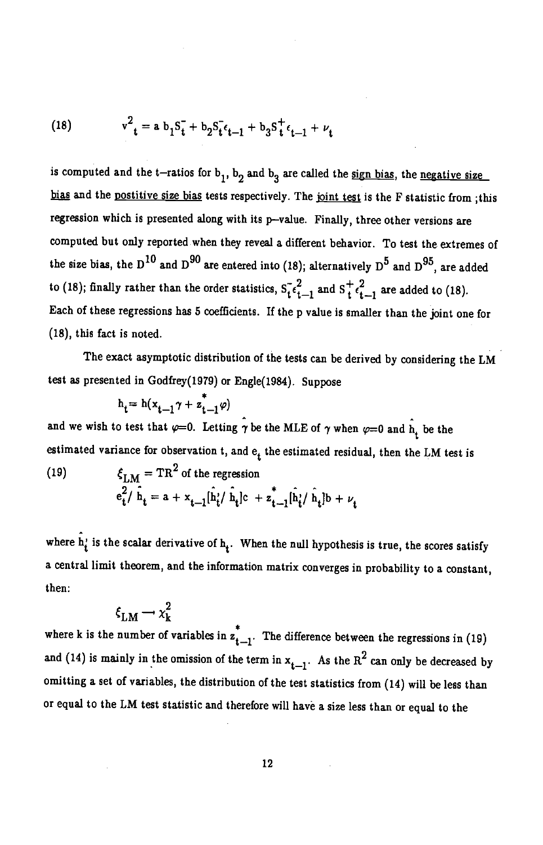(18) 
$$
v^2_{t} = a b_1 S_t + b_2 S_t \epsilon_{t-1} + b_3 S_t^+ \epsilon_{t-1} + \nu_t
$$

is computed and the t-ratios for  $b_1$ ,  $b_2$  and  $b_3$  are called the sign bias, the negative size bias and the postitive size bias tests respectively. The joint test is the F statistic from ; this regression which is presented along with its p-value. Finally, three other versions are computed but only reported when they reveal a different behavior. To test the extremes of the size bias, the D<sup>10</sup> and D<sup>90</sup> are entered into (18); alternatively D<sup>5</sup> and D<sup>95</sup>, are added to (18); finally rather than the order statistics,  $S_1^-\epsilon_{t-1}^2$  and  $S_1^+\epsilon_{t-1}^2$  are added to (18). Each of these regressions has 5 coefficients. If the p value is smaller than the joint one for (18), this fact is noted.

The exact asymptotic distribution of the tests can be derived by considering the LM test as presented in Godfrey(1979) or Engle(1984). Suppose

$$
h_t = h(x_{t-1}\gamma + z_{t-1}^*\varphi)
$$

and we wish to test that  $\varphi=0$ . Letting  $\gamma$  be the MLE of  $\gamma$  when  $\varphi=0$  and h, be the estimated variance for observation t, and  $e_t$  the estimated residual, then the LM test is

(19) 
$$
\xi_{LM} = TR^2 \text{ of the regression}
$$

$$
e_t^2 / \hat{h}_t = a + x_{t-1} [\hat{h}_t^i / \hat{h}_t] c + z_{t-1}^* [\hat{h}_t^i / \hat{h}_t] b + \nu_t
$$

where  $\hat{h}_i$  is the scalar derivative of  $h_i$ . When the null hypothesis is true, the scores satisfy a central limit theorem, and the information matrix converges in probability to a constant, then:

$$
\xi_{LM} \rightarrow \chi_k^2
$$

where k is the number of variables in  $z_{t-1}$ . The difference between the regressions in (19) and (14) is mainly in the omission of the term in  $x_{t-1}$ . As the  $R^2$  can only be decreased by omitting a set of variables, the distribution of the test statistics from (14) will be less than or equal to the LM test statistic and therefore will have a size less than or equal to the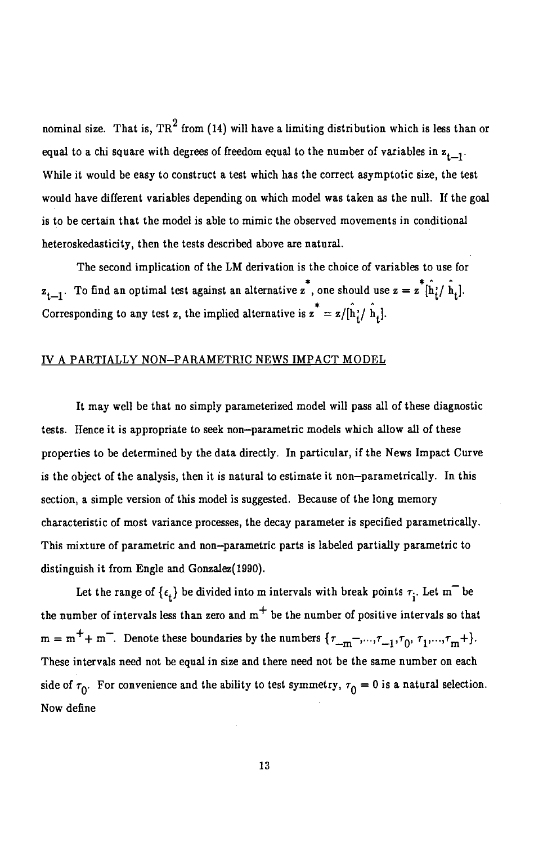nominal size. That is,  $TR^2$  from (14) will have a limiting distribution which is less than or equal to a chi square with degrees of freedom equal to the number of variables in  $z_{t-1}$ . While it would be easy to construct a test which has the correct asymptotic size, the test would have different variables depending on which model was taken as the null. If the goal is to be certain that the model is able to mimic the observed movements in conditional heteroskedasticity, then the tests described above are natural.

The second implication of the LM derivation is the choice of variables to use for  $z_{t-1}$ . To find an optimal test against an alternative  $z^*$ , one should use  $z = z^*[\hat{h}_i/\hat{h}_t].$ Corresponding to any test z, the implied alternative is  $z^* = z/[\hat{h}_i/\hat{h}_i]$ .

## IV A PARTIALLY NON—PARAMETRIC NEWS IMPACT MODEL

It may well be that no simply parameterized model will pass all of these diagnostic tests. Hence it is appropriate to seek non—parametric models which allow all of these properties to be determined by the data directly. In particular, if the News Impact Curve is the object of the analysis, then it is natural to estimate it non—parametrically. In this section, a simple version of this model is suggested. Because of the long memory characteristic of most variance processes, the decay parameter is specified parametrically. This mixture of parametric and non—parametric parts is labeled partially parametric to distinguish it from Engle and Gonzalez(1990).

Let the range of  $\{\epsilon_t\}$  be divided into m intervals with break points  $\tau_i$ . Let m<sup>-</sup> be the number of intervals less than zero and  $m<sup>+</sup>$  be the number of positive intervals so that  $m = m^+ + m^-.$  Denote these boundaries by the numbers  $\{\tau_{-m}^-, \dots, \tau_{-1}, \tau_0, \tau_1, \dots, \tau_m^-\}$ . These intervals need not be equal in size and there need not be the same number on each side of  $\tau_0$ . For convenience and the ability to test symmetry,  $\tau_0 = 0$  is a natural selection. Now define -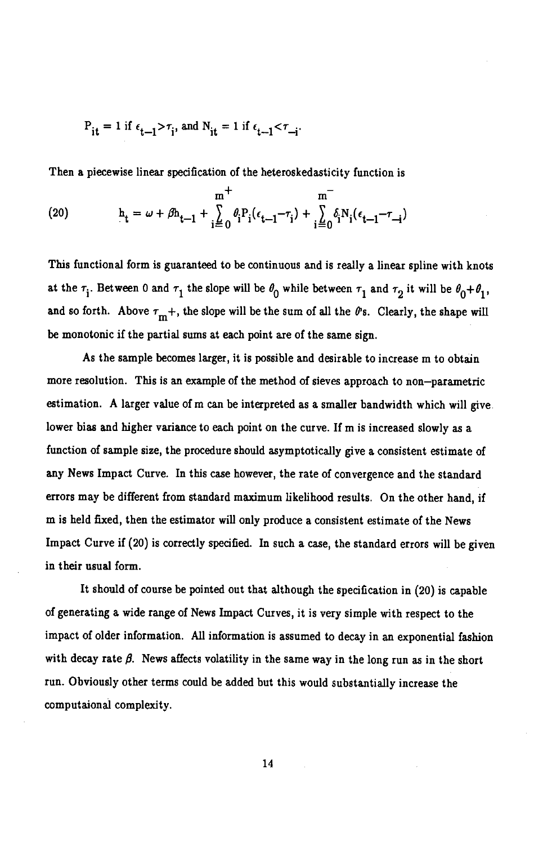$$
P_{it}=1\ \text{if}\ \epsilon_{t-1} \texttt{>}\tau_i\text{, and}\ N_{it}=1\ \text{if}\ \epsilon_{t-1} \texttt{<}\tau_{-i}\text{.}
$$

Then a piecewise linear specification of the heteroskedasticity function is

(20) 
$$
\mathbf{h}_{t} = \omega + \beta \mathbf{h}_{t-1} + \sum_{i=0}^{m^{+}} \theta_{i}^{i} \mathbf{P}_{i} (\epsilon_{t-1} - \tau_{i}) + \sum_{i=0}^{m^{-}} \delta_{i}^{i} \mathbf{N}_{i} (\epsilon_{t-1} - \tau_{-i})
$$

This functional form is guaranteed to be continuous and is really a linear spline with knots at the  $\tau_i$ . Between 0 and  $\tau_1$  the slope will be  $\theta_0$  while between  $\tau_1$  and  $\tau_2$  it will be  $\theta_0+\theta_1$ , and so forth. Above  $\tau_{m}$ +, the slope will be the sum of all the  $\theta$ 's. Clearly, the shape will be monotonic if the partial sums at each point are of the same sign.

As the sample becomes larger, it is possible and desirable to increase m to obtain more resolution. This is an example of the method of sieves approach to non—parametric estimation. A larger value of m can be interpreted as a smaller bandwidth which will give. lower bias and higher variance to each point on the curve. If m is increased slowly as a function of sample size, the procedure should asymptotically give a consistent estimate of any News Impact Curve. In this case however, the rate of convergence and the standard errors may be different from standard maximum likelihood results. On the other hand, if m is held fixed, then the estimator will only produce a consistent estimate of the News Impact Curve if (20) is correctly specified. In such a case, the standard errors will be given in their usual form.

It should of course be pointed out that although the specification in (20) is capable of generating a wide range of News Impact Curves, it is very simple with respect to the impact of older information. All information is assumed to decay in an exponential fashion with decay rate  $\beta$ . News affects volatility in the same way in the long run as in the short run. Obviously other terms could be added but this would substantially increase the computaionai complexity.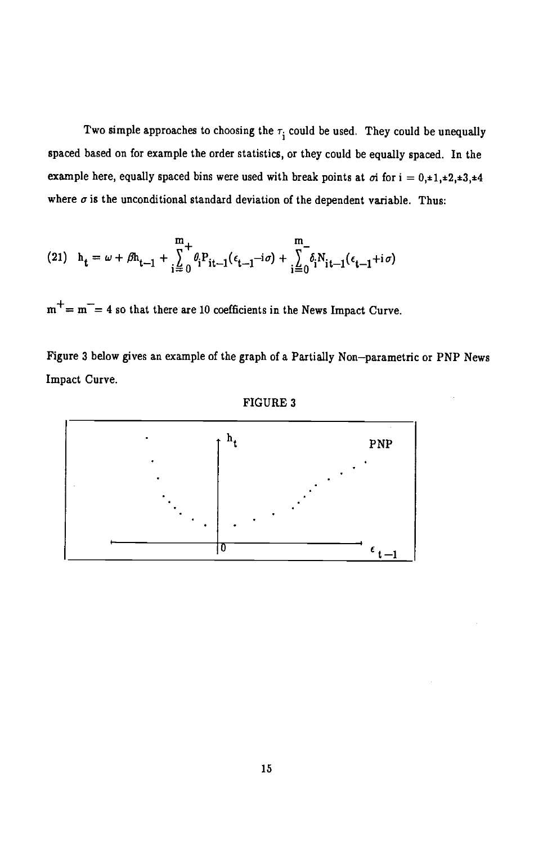Two simple approaches to choosing the  $\tau_i$  could be used. They could be unequally spaced based on for example the order statistics, or they could be equally spaced. In the example here, equally spaced bins were used with break points at  $\sigma i$  for  $i = 0, \pm 1, \pm 2, \pm 3, \pm 4$ where  $\sigma$  is the unconditional standard deviation of the dependent variable. Thus:

(21) 
$$
h_{t} = \omega + \beta h_{t-1} + \sum_{i=0}^{m} \theta_{i} P_{it-1}(\epsilon_{t-1} - i\sigma) + \sum_{i=0}^{m} \delta_{i} N_{it-1}(\epsilon_{t-1} + i\sigma)
$$

 $m^+= m^-= 4$  so that there are 10 coefficients in the News Impact Curve.

Figure 3 below gives an example of the graph of a Partially Non—parametric or PNP News Impact Curve.



### FIGURE 3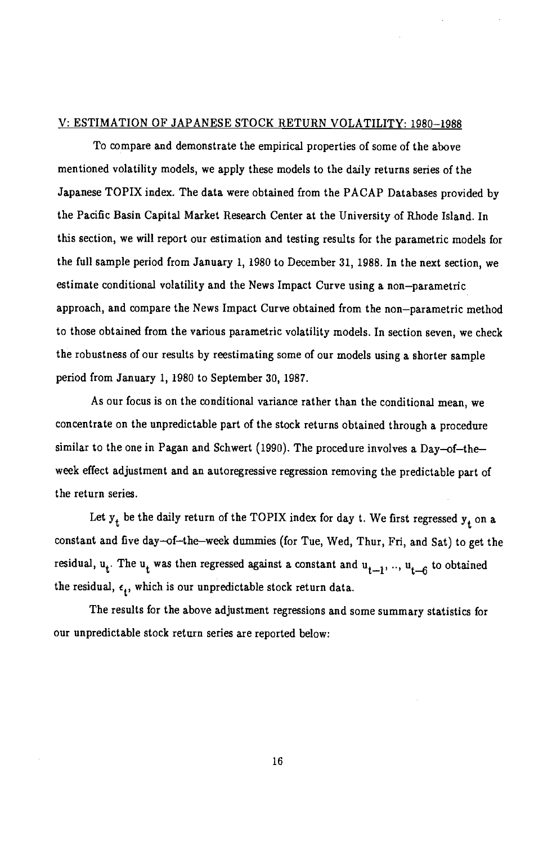## V: ESTIMATION OF JAPANESE STOCK RETURN VOLATILITY: 1980—1988

To compare and demonstrate the empirical properties of some of the above mentioned volatility models, we apply these models to the daily returns series of the Japanese TOPIX index. The data were obtained from the PACAP Databases provided by the Pacific Basin Capital Market Research Center at the University of Rhode Island. In this section, we will report our estimation and testing results for the parametric models for the full sample period from January 1, 1980 to December 31, 1988. In the next section, we estimate conditional volatility and the News Impact Curve using a non—parametric approach, and compare the News Impact Curve obtained from the non—parametric method to those obtained from the various parametric volatility models. In section seven, we check the robustness of our results by reestimating some of our models using a shorter sample period from January 1, 1980 to September 30, 1987.

As our focus is on the conditional variance rather than the conditional mean, we concentrate on the unpredictable part of the stock returns obtained through a procedure similar to the one in Pagan and Schwert (1990). The procedure involves a Day—of—the week effect adjustment and an autoregressive regression removing the predictable part of the return series.

Let  $y_t$  be the daily return of the TOPIX index for day t. We first regressed  $y_t$  on a constant and five day—of—the-week dummies (for Tue, Wed, Thur, Fri, and Sat) to get the residual,  $u_t$ . The  $u_t$  was then regressed against a constant and  $u_{t-1}$ , ..,  $u_{t-6}$  to obtained the residual,  $\epsilon_t$ , which is our unpredictable stock return data.

The results for the above adjustment regressions and some summary statistics for our unpredictable stock return series are reported below: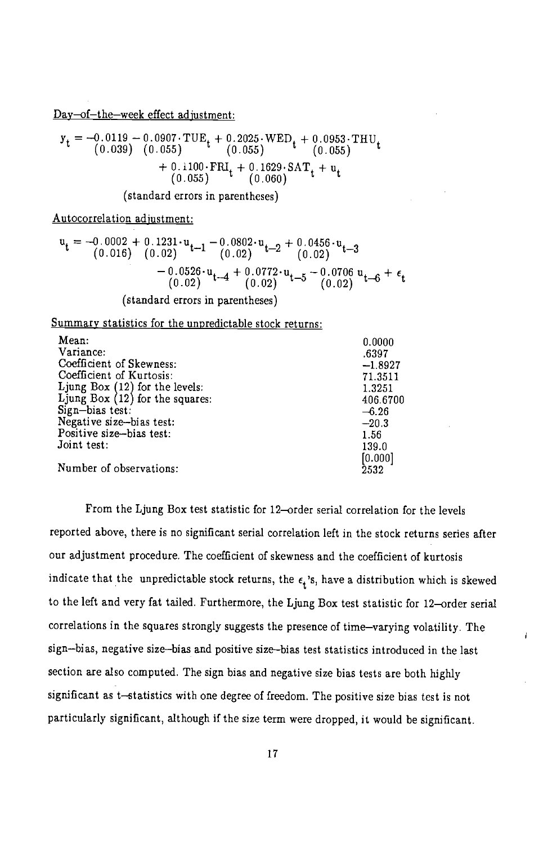Day—of—the—week effect adiustment:

$$
y_t = -0.0119 - 0.0907 \cdot TUE_t + 0.2025 \cdot WED_t + 0.0953 \cdot THU_t \n(0.039) (0.055) \n(0.055) + 0.1100 \cdot FRI_t + 0.1629 \cdot SAT_t + u_t \n(0.055) (0.060)
$$

(standard errors in parentheses)

Autocorrelation adjustment:

$$
\mathbf{u}_{t} = -0.0002 + 0.1231 \cdot \mathbf{u}_{t-1} - 0.0802 \cdot \mathbf{u}_{t-2} + 0.0456 \cdot \mathbf{u}_{t-3} \n-0.0526 \cdot \mathbf{u}_{t-4} + 0.0772 \cdot \mathbf{u}_{t-5} - 0.0706 \mathbf{u}_{t-6} + \epsilon_{t} \n(0.02) \qquad (-0.02) \qquad (-0.02)
$$

(standard errors in parentheses)

Summary statistics for the unpredictable stock returns:

| Mean:                             | 0.0000    |
|-----------------------------------|-----------|
| Variance:                         | .6397     |
| Coefficient of Skewness:          | $-1.8927$ |
| Coefficient of Kurtosis:          | 71.3511   |
| Ljung Box $(12)$ for the levels:  | 1.3251    |
| Ljung Box $(12)$ for the squares: | 406.6700  |
| Sign-bias test.                   | $-6.26$   |
| Negative size-bias test:          | $-20.3$   |
| Positive size-bias test:          | 1.56      |
| Joint test:                       | 139.0     |
|                                   | [0.000]   |
| Number of observations:           | 2532      |

From the Ljung Box test statistic for 12-order serial correlation for the levels reported above, there is no significant serial correlation left in the stock returns series after our adjustment procedure. The coefficient of skewness and the coefficient of kurtosis indicate that the unpredictable stock returns, the  $\epsilon_t$ 's, have a distribution which is skewed to the left and very fat tailed. Furthermore, the Ljung Box test statistic for 12-order serial correlations in the squares strongly suggests the presence of time—varying volatility. The sign—bias, negative size-bias and positive size—bias test statistics introduced in the last section are also computed. The sign bias and negative size bias tests are both highly significant as t—statistics with one degree of freedom. The positive size bias test is not particularly significant, although if the size term were dropped, it would be significant.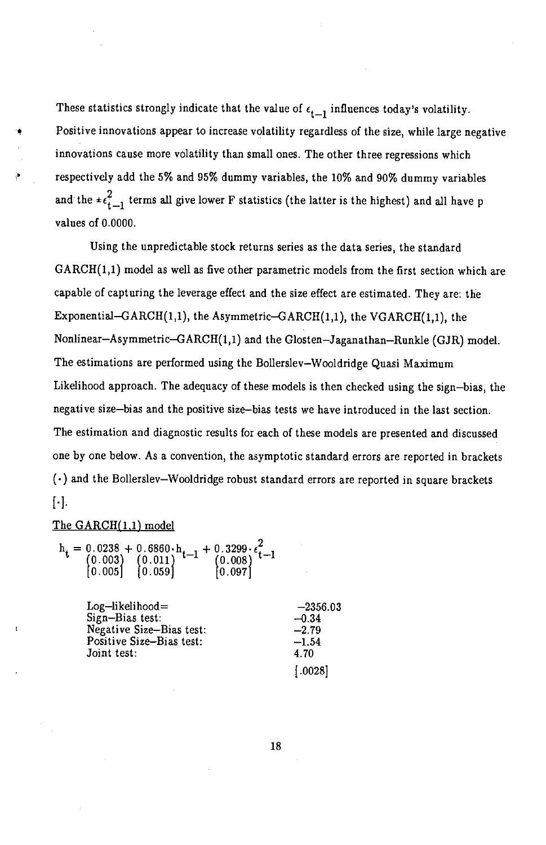These statistics strongly indicate that the value of  $\epsilon_{t-1}$  influences today's volatility. Positive innovations appear to increase volatility regardless of the size, while large negative innovations cause more volatility than small ones. The other three regressions which respectively add the 5% and 95% dummy variables, the 10% and 90% dummy variables and the  $\pm \epsilon_{t-1}^2$  terms all give lower F statistics (the latter is the highest) and all have p values of 0.0000.

Using the unpredictable stock returns series as the data series, the standard  $GARCH(1,1)$  model as well as five other parametric models from the first section which are capable of capturing the leverage effect and the size effect are estimated. They are: the Exponential-GARCH $(1,1)$ , the Asymmetric-GARCH $(1,1)$ , the VGARCH $(1,1)$ , the Nonlinear-Asymmetric- $GARCH(1,1)$  and the Glosten-Jaganathan-Runkle (GJR) model. The estimations are performed using the Bollerslev—Wooldridge Quasi Maximum Likelihood approach. The adequacy of these models is then checked using the sign—bias, the negative size—bias and the positive size—bias tests we have introduced in the last section. The estimation and diagnostic results for each of these models are presented and discussed one by one below. As a convention, the asymptotic standard errors are reported in brackets  $(\cdot)$  and the Bollerslev–Wooldridge robust standard errors are reported in square brackets [•1.

### The  $GARCH(1,1)$  model

| $Log-likelihood=$        | $-2356.03$ |
|--------------------------|------------|
| Sign-Bias test:          | $-0.34$    |
| Negative Size-Bias test: | $-2.79$    |
| Positive Size-Bias test: | $-1.54$    |
| Joint test:              | 4.70       |
|                          | [.0028]    |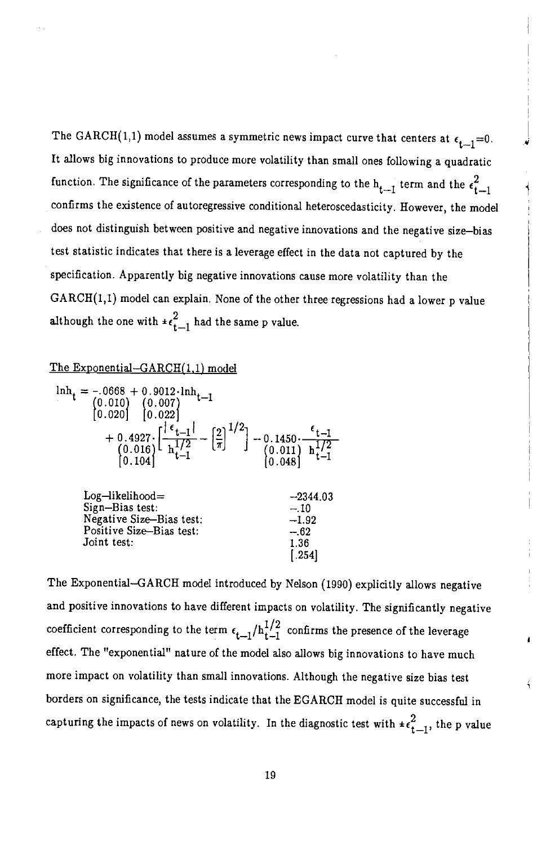The GARCH(1,1) model assumes a symmetric news impact curve that centers at  $\epsilon_{t-1} = 0$ . It allows big innovations to produce more volatility than small ones following a quadratic function. The significance of the parameters corresponding to the  $h_{t-1}$  term and the  $\epsilon_{t-1}^2$ confirms the existence of autoregressive conditional heteroscedasticity. However, the model does not distinguish between positive and negative innovations and the negative size—bias test statistic indicates that there is a leverage effect in the data not captured by the specification. Apparently big negative innovations cause more volatility than the GARCH(1,1) model can explain. None of the other three regressions had a lower p value although the one with  $\pm \epsilon_{t-1}^2$  had the same p value.

## The Exponential—GARCH(1,1) model

Joint test:

| $\begin{array}{c} \text{lnh}_t = -.0668 + 0.9012 \cdot \text{lnh}_{t-1} \\ (0.010) \quad (0.007) \\ (0.020) \quad [0.022] \end{array}$ | + 0.4927. $\left[\frac{ \epsilon_{t-1} }{h_{t-1}^{1/2}} - \left[\frac{2}{\pi}\right]^{1/2}\right]$ - 0.1450. $\frac{\epsilon_{t-1}}{h_{t-1}^{1/2}}$<br>(0.016) $\frac{h_{t-1}^{1/2}}{h_{t-1}^{1/2}}$<br>(0.018) $\frac{h_{t-1}^{1/2}}{h_{t-1}^{1/2}}$ |
|----------------------------------------------------------------------------------------------------------------------------------------|-------------------------------------------------------------------------------------------------------------------------------------------------------------------------------------------------------------------------------------------------------|
| $Log-likelihood=$                                                                                                                      | $-2344.03$                                                                                                                                                                                                                                            |
| Sign-Bias test:                                                                                                                        | $-.10$                                                                                                                                                                                                                                                |
| Negative Size-Bias test:                                                                                                               | $-1.92$                                                                                                                                                                                                                                               |
| Positive Size-Bias test:                                                                                                               | $-.62$                                                                                                                                                                                                                                                |

The Exponential—GARCH model introduced by Nelson (1990) explicitly allows negative and positive innovations to have different impacts on volatility. The significantly negative coefficient corresponding to the term  $\epsilon_{t-1}/h_{t-1}^{1/2}$  confirms the presence of the leverage effect. The "exponential" nature of the model also allows big innovations to have much more impact on volatility than small innovations. Although the negative size bias test borders on significance, the tests indicate that the EGARCH model is quite successful in capturing the impacts of news on volatility. In the diagnostic test with  $\pm \epsilon_{t-1}^2$ , the p value

 $\frac{1.36}{0.254}$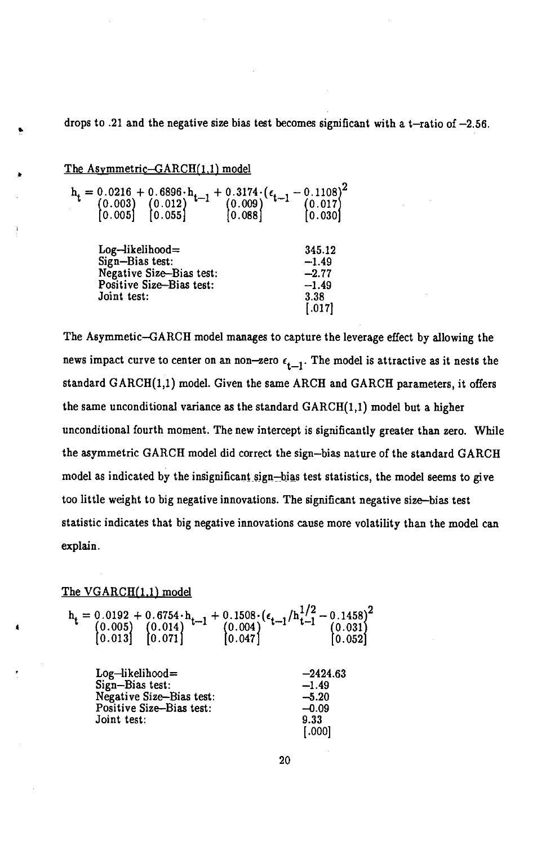drops to .21 and the negative size bias test becomes significant with a  $t$ -ratio of  $-2.56$ .

### The Asvmmetric—GARCH(1,1) model

| $h_t = \begin{cases} 0.0216 + 0.6896 \cdot h_{t-1} + 0.3174 \cdot (\epsilon_{t-1} \\ (0.003) \quad (0.012) \\ (0.005) \quad [0.055] \quad (0.088) \end{cases}$ | $-0.1108)^2$<br>$\begin{array}{c} (0.017) \\ [0.030] \end{array}$ |  |
|----------------------------------------------------------------------------------------------------------------------------------------------------------------|-------------------------------------------------------------------|--|
| $Log-likelihood=$<br>Sign-Bias test:<br>Negative Size-Bias test:<br>Positive Size-Bias test:<br>Joint test:                                                    | 345.12<br>$-1.49$<br>$-2.77$<br>$-1.49$<br>3.38<br>[.017]         |  |

The Asymmetic—GARCH model manages to capture the leverage effect by allowing the news impact curve to center on an non-zero  $\epsilon_{t-1}$ . The model is attractive as it nests the standard  $GARCH(1,1)$  model. Given the same ARCH and  $GARCH$  parameters, it offers the same unconditional variance as the standard  $GARCH(1,1)$  model but a higher unconditional fourth moment. The new intercept is significantly greater than zero. While the asymmetric GARCH model did correct the sign—bias nature of the standard GARCH model as indicated by the insignificant sign—bias test statistics, the model seems to give too little weight to big negative innovations. The significant negative size-bias test statistic indicates that big negative innovations cause more volatility than the model can explain.

## The VGARCH(1.1) model

|  | $\mathbf{h_t} = \begin{pmatrix} 0.0192 + 0.6754 \cdot \mathbf{h_{t-1}} + 0.1508 \cdot (\epsilon_{t-1}/\mathbf{h_{t-1}^{1/2}} - 0.1458)^2 \ 0.005 \end{pmatrix} \begin{pmatrix} 0.014 \\ 0.013 \end{pmatrix} \begin{pmatrix} 0.014 \\ 0.071 \end{pmatrix} \begin{pmatrix} 0.004 \\ 0.047 \end{pmatrix} \begin{pmatrix} 0.031 \\ 0.052 \end{pmatrix}$ |  |
|--|-----------------------------------------------------------------------------------------------------------------------------------------------------------------------------------------------------------------------------------------------------------------------------------------------------------------------------------------------------|--|
|  |                                                                                                                                                                                                                                                                                                                                                     |  |
|  |                                                                                                                                                                                                                                                                                                                                                     |  |

 $Log-likelihood =$   $-2424.63$ <br>Sign-Bias test:  $-1.49$ Sign-Bias test: -1.49<br>Negative Size-Bias test: -5.20 Negative Size-Bias test: -5.20<br>Positive Size-Bias test: -6.09 Positive Size-Bias test:  $-0.09$ <br>Joint test: 9.33 Joint test:

[.000]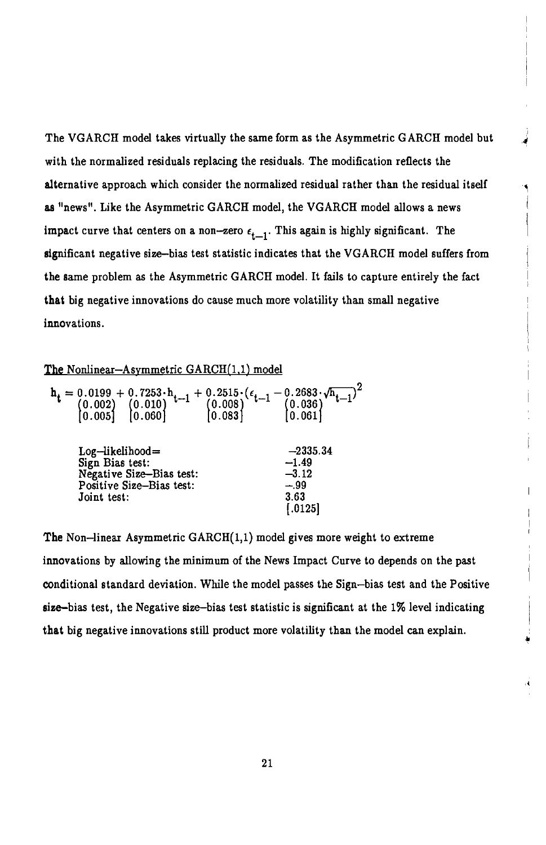The VGARCH model takes virtually the same form as the Asymmetric GARCH model but with the normalized residuals replacing the residuals. The modification reflects the alternative approach which consider the normalized residual rather than the residual itself as "news". Like the Asymmetric GARCH model, the VGARCH model allows a news impact curve that centers on a non-zero  $\epsilon_{t-1}$ . This again is highly significant. The significant negative size—bias test statistic indicates that the VGARCH model suffers from the same problem as the Asymmetric GARCH model. It falls to capture entirely the fact that big negative innovations do cause much more volatility than small negative innovations.

## The Nonlinear-Asymmetric  $GARCH(1,1)$  model

| $\mathbf{h_t} = \begin{bmatrix} 0.0199 + 0.7253 \cdot \mathbf{h}_{t-1} + 0.2515 \cdot (\epsilon_{t-1} - 0.2683 \cdot \sqrt{\mathbf{h}_{t-1}}) \\ (0.002) & (0.010) & (0.008) \\ (0.005] & [0.060] & [0.083] \end{bmatrix}$ |               |
|----------------------------------------------------------------------------------------------------------------------------------------------------------------------------------------------------------------------------|---------------|
| $Log-likelihood =$                                                                                                                                                                                                         | $-2335.34$    |
| Sign Bias test:                                                                                                                                                                                                            | $-1.49$       |
| Negative Size-Bias test:                                                                                                                                                                                                   | $-3.12$       |
| Positive Size-Bias test:                                                                                                                                                                                                   | $-.99$        |
| Joint test:                                                                                                                                                                                                                | 3.63<br>.0125 |

The Non—linear Asymmetric GARCH(1,1) model gives more weight to extreme innovations by allowing the minimum of the News Impact Curve to depends on the past conditional standard deviation. While the model passes the Sign—bias test and the Positive size—bias test, the Negative size-bias test statistic is significant at the 1% level indicating that big negative innovations still product more volatility than the model can explain.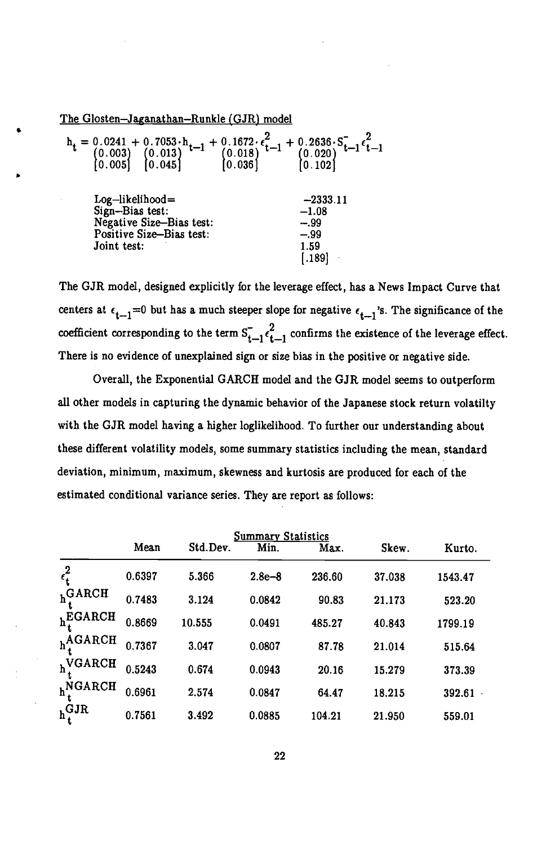The Glosten—Jaganathan—Runkle (GJR) model

|                          | $\begin{array}{c} \mathbf{h_t} = \begin{bmatrix} 0.0241 + 0.7053 \cdot \mathbf{h_{t-1}} + 0.1672 \cdot \epsilon_{t-1}^2 + 0.2636 \cdot S_{t-1}^- \epsilon_{t-1}^2 \\ (0.003) \quad (0.013) \quad (0.018) \quad (0.018) \quad (0.020) \end{bmatrix} & \begin{matrix} 0.020 \\ (0.020) \end{matrix} \\ \begin{bmatrix} 0.005 \end{bmatrix} & \begin{matrix} 0.045 \end{bmatrix} & \begin{matrix} 0.036 \end{$ |
|--------------------------|-------------------------------------------------------------------------------------------------------------------------------------------------------------------------------------------------------------------------------------------------------------------------------------------------------------------------------------------------------------------------------------------------------------|
| $Log-likelihood =$       | $-2333.11$                                                                                                                                                                                                                                                                                                                                                                                                  |
| Sign-Bias test:          | $-1.08$                                                                                                                                                                                                                                                                                                                                                                                                     |
| Negative Size-Bias test: | $-.99$                                                                                                                                                                                                                                                                                                                                                                                                      |
| Positive Size-Bias test: | $-.99$                                                                                                                                                                                                                                                                                                                                                                                                      |
| Joint test:              | 1.59                                                                                                                                                                                                                                                                                                                                                                                                        |

The GJR model, designed explicitly for the leverage effect, has a News Impact Curve that centers at  $\epsilon_{t-1}=0$  but has a much steeper slope for negative  $\epsilon_{t-1}$ 's. The significance of the coefficient corresponding to the term  $S_{t-1}^2 \epsilon_{t-1}^2$  confirms the existence of the leverage effect. There is no evidence of unexplained sign or size bias in the positive or negative side.

Overall, the Exponential GARCH model and the GJR model seems to outperform all other models in capturing the dynamic behavior of the Japanese stock return volatilty with the GJR model having a higher loglikelihood. To further our understanding about these different volatility models, some summary statistics including the mean, standard deviation, minimum, maximum, skewness and kurtosis are produced for each of the estimated conditional variance series. They are report as follows:

| <b>Summary Statistics</b> |        |          |            |        |        |         |
|---------------------------|--------|----------|------------|--------|--------|---------|
|                           | Mean   | Std.Dev. | Min.       | Max.   | Skew.  | Kurto.  |
| $\epsilon_t^2$            | 0.6397 | 5.366    | $2.8e - 8$ | 236.60 | 37.038 | 1543.47 |
| $hi$ GARCH                | 0.7483 | 3.124    | 0.0842     | 90.83  | 21.173 | 523.20  |
| $h^{EGARCH}_{\star}$      | 0.8669 | 10.555   | 0.0491     | 485.27 | 40.843 | 1799.19 |
| $h^{AGARCH}$              | 0.7367 | 3.047    | 0.0807     | 87.78  | 21.014 | 515.64  |
| $h^{VGARCH}$              | 0.5243 | 0.674    | 0.0943     | 20.16  | 15.279 | 373.39  |
| $h^{NGARCH}_{\star}$      | 0.6961 | 2.574    | 0.0847     | 64.47  | 18.215 | 392.61  |
| $h^{GJR}_{\star}$         | 0.7561 | 3.492    | 0.0885     | 104.21 | 21.950 | 559.01  |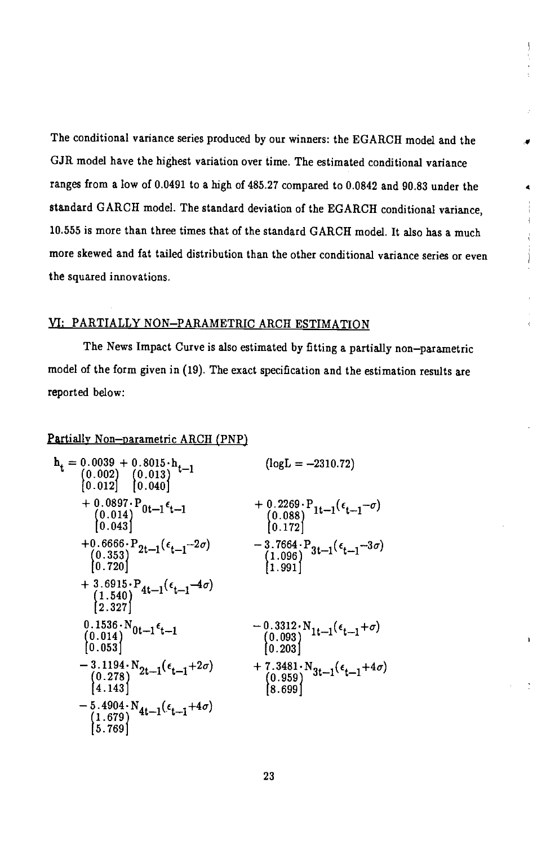The conditional variance series produced by our winners: the EGARCH model and the GJR model have the highest variation over time. The estimated conditional variance ranges from a low of 0.0491 to a high of 485.27 compared to 0.0842 and 90.83 under the standard GARCH model. The standard deviation of the EGARCH conditional variance, 10.555 is more than three times that of the standard GARCH model. It also has a much more skewed and fat tailed distribution than the other conditional variance series or even the squared innovations.

## Yl: PARTIALLY NON—PARAMETRIC ARCH ESTIMATION

The News Impact Curve is also estimated by fitting a partially non—parametric model of the form given in (19). The exact specification and the estimation results are reported below:

## Partially Non-parametric ARCH (PNP)

| $\mathbf{h_t} = \begin{bmatrix} 0.0039 + 0.8015 \cdot \mathbf{h_t} \\ (0.002) & (0.013) \\ (0.012) & (0.040) \end{bmatrix}$ | $(log L = -2310.72)$                                                                                                                                                                        |
|-----------------------------------------------------------------------------------------------------------------------------|---------------------------------------------------------------------------------------------------------------------------------------------------------------------------------------------|
| + $0.0897 \cdot P_{0t-1} \epsilon_{t-1}$<br>(0.014)<br>[0.043]                                                              | + $0.2269 \cdot P_{1t-1}(\epsilon_{t-1} - \sigma)$<br>(0.088)<br>(0.172)                                                                                                                    |
| +0.6666.P <sub>2t-1</sub> ( $\epsilon_{t-1}$ -2 <i>σ</i> )<br>(0.353)<br>(0.720)                                            | $-3.7664\cdot P_{3t-1}(\epsilon_{t-1}-3\sigma)$<br>(1.096)<br>[1.991]                                                                                                                       |
| + 3.6915 · P <sub>4t-1</sub> ( $\epsilon$ <sub>t-1</sub> -4 $\sigma$ )<br>{1.540)<br>{2.327}                                |                                                                                                                                                                                             |
| $0.1536\cdot N_{0t-1}\epsilon_{t-1}$<br>(0.014)<br>[0.053]                                                                  | $\begin{array}{c} -\,\textcolor{red}{0.3312\cdot N}\, \textcolor{red}{1} t\!-\!1} (\epsilon_{t-1}\!+\!\sigma) \\ \textcolor{red}{\begin{pmatrix} 0.093 \\ 0.203 \end{pmatrix}} \end{array}$ |
| $-3.1194 \cdot N_{2t-1}(\epsilon_{t-1}+2\sigma)$<br>$(0.278)$<br>$[4.143]$                                                  | + 7.3481 · N <sub>3t-1</sub> ( $\epsilon_{t-1}$ +4 $\sigma$ )<br>$\begin{array}{c} (0.959) \\ (8.699) \end{array}$                                                                          |
| $-5.4904 \cdot N_{4t-1}(\epsilon_{t-1}+4\sigma)$<br>(1.679)<br>[5.769]                                                      |                                                                                                                                                                                             |

Ŷ.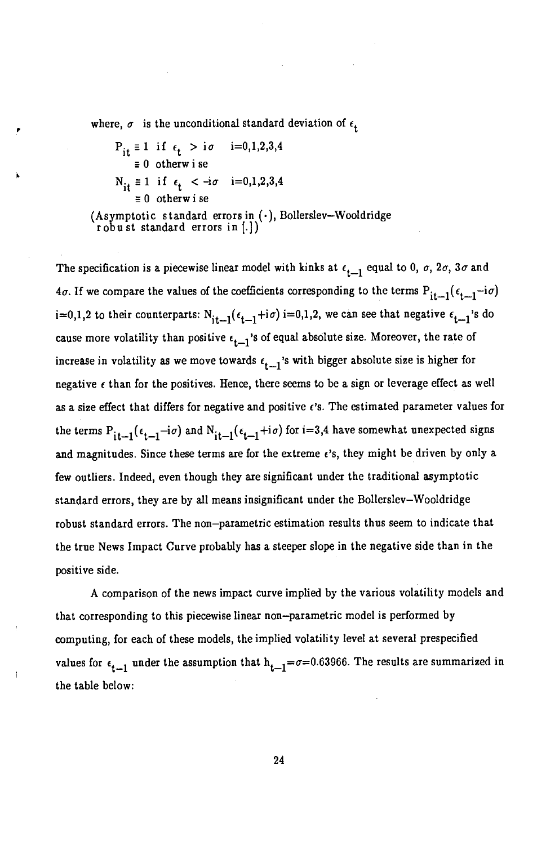where,  $\sigma$  is the unconditional standard deviation of  $\epsilon_t$ 

 $P_{it} \equiv 1$  if  $\epsilon_t > i\sigma$  i=0,1,2,3,4  $\equiv 0$  otherw i se  $N_{it} \equiv 1$  if  $\epsilon_t < -i\sigma$  i=0,1,2,3,4  $\equiv 0$  otherw i se (Asymptotic standard errors in  $(\cdot)$ , Bollerslev-Wooldridge robust standard errors in  $[\cdot]$ )

The specification is a piecewise linear model with kinks at  $\epsilon_{i-1}$  equal to 0,  $\sigma$ ,  $2\sigma$ ,  $3\sigma$  and  $4\sigma$ . If we compare the values of the coefficients corresponding to the terms  $P_{it-1}(\epsilon_{t-1}-i\sigma)$ i=0,1,2 to their counterparts:  $N_{i,t-1}(\epsilon_{t-1}+i\sigma)$  i=0,1,2, we can see that negative  $\epsilon_{t-1}$ 's do cause more volatility than positive  $\epsilon_{t-1}$ 's of equal absolute size. Moreover, the rate of increase in volatility as we move towards  $\epsilon_{t-1}$ 's with bigger absolute size is higher for negative  $\epsilon$  than for the positives. Hence, there seems to be a sign or leverage effect as well as a size effect that differs for negative and positive  $\epsilon$ 's. The estimated parameter values for the terms  $P_{it-1}$  ( $\epsilon_{t-1}$ -i $\sigma$ ) and  $N_{it-1}$  ( $\epsilon_{t-1}$ +i $\sigma$ ) for i=3,4 have somewhat unexpected signs and magnitudes. Since these terms are for the extreme  $\epsilon$ 's, they might be driven by only a few outliers. Indeed, even though they are significant under the traditional asymptotic standard errors, they are by all means insignificant under the Bollerslev—Wooldridge robust standard errors. The non—parametric estimation results thus seem to indicate that the true News Impact Curve probably has a steeper slope in the negative side than in the positive side.

A comparison of the news impact curve implied by the various volatility models and that corresponding to this piecewise linear non—parametric model is performed by computing, for each of these models, the implied volatility level at several prespecified values for  $\epsilon_{t-1}$  under the assumption that  $h_{t-1} = \sigma = 0.63966$ . The results are summarized in the table below: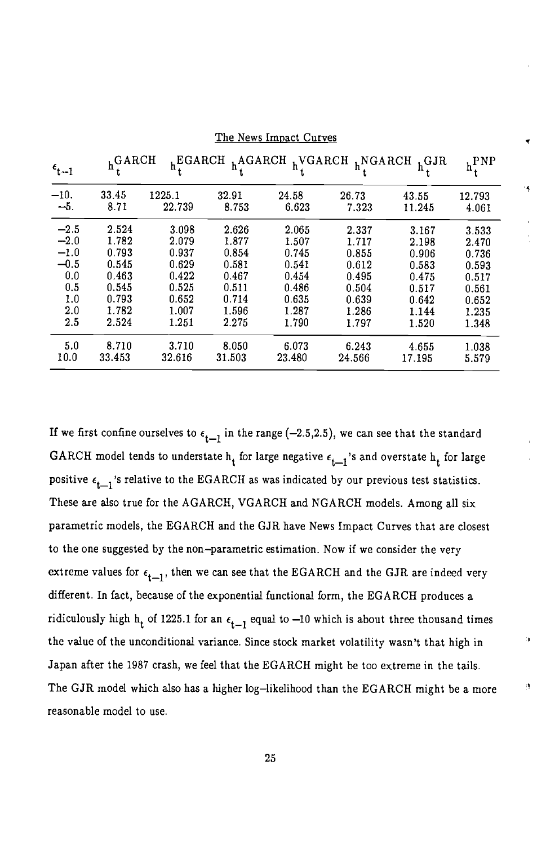| $\epsilon_{t-1}$ | $h^{GARCH}$   |                  |                |                | $h^{EGARCH}$ $h^{AGARCH}$ $h^{VGARCH}$ $h^{NGARCH}$ $h^{GJR}$ |                 | $h^{PNP}_{\star}$ |
|------------------|---------------|------------------|----------------|----------------|---------------------------------------------------------------|-----------------|-------------------|
| $-10.$<br>$-5.$  | 33.45<br>8.71 | 1225.1<br>22.739 | 32.91<br>8.753 | 24.58<br>6.623 | 26.73<br>7.323                                                | 43.55<br>11.245 | 12.793<br>4.061   |
|                  |               |                  |                |                |                                                               |                 |                   |
| $-2.5$           | 2.524         | 3.098            | 2.626          | 2.065          | 2.337                                                         | 3.167           | 3.533             |
| $-2.0$           | 1.782         | 2.079            | 1.877          | 1.507          | 1.717                                                         | 2.198           | 2.470             |
| $-1.0$           | 0.793         | 0.937            | 0.854          | 0.745          | 0.855                                                         | 0.906           | 0.736             |
| $-0.5$           | 0.545         | 0.629            | 0.581          | 0.541          | 0.612                                                         | 0.583           | 0.593             |
| 0.0              | 0.463         | 0.422            | 0.467          | 0.454          | 0.495                                                         | 0.475           | 0.517             |
| 0.5              | 0.545         | 0.525            | 0.511          | 0.486          | 0.504                                                         | 0.517           | 0.561             |
| 1.0              | 0.793         | 0.652            | 0.714          | 0.635          | 0.639                                                         | 0.642           | 0.652             |
| 2.0              | 1.782         | 1.007            | 1.596          | 1.287          | 1.286                                                         | 1.144           | 1.235             |
| 2.5              | 2.524         | 1.251            | 2.275          | 1.790          | 1.797                                                         | 1.520           | 1.348             |
| 5.0              | 8.710         | 3.710            | 8.050          | 6.073          | 6.243                                                         | 4.655           | 1.038             |
| 10.0             | 33.453        | 32.616           | 31.503         | 23.480         | 24.566                                                        | 17.195          | 5.579             |

The News Impact Curves

If we first confine ourselves to  $\epsilon_{t-1}$  in the range (-2.5,2.5), we can see that the standard GARCH model tends to understate  $h_t$  for large negative  $\epsilon_{t-1}$ 's and overstate  $h_t$  for large positive  $\epsilon_{t-1}$ 's relative to the EGARCH as was indicated by our previous test statistics. These are also true for the AGARCH, VGARCH and NGARCH models. Among all six parametric models, the EGARCH and the GJR have News Impact Curves that are closest to the one suggested by the non—parametric estimation. Now if we consider the very extreme values for  $\epsilon_{t-1}$ , then we can see that the EGARCH and the GJR are indeed very different. In fact, because of the exponential functional form, the EGARCH produces a ridiculously high h<sub>t</sub> of 1225.1 for an  $\epsilon_{t-1}$  equal to -10 which is about three thousand times the value of the unconditional variance. Since stock market volatility wasn't that high in Japan after the 1987 crash, we feel that the EGARCH might be too extreme in the tails. The GJR model which also has a higher log-likelihood than the EGARCH might be a more reasonable model to use.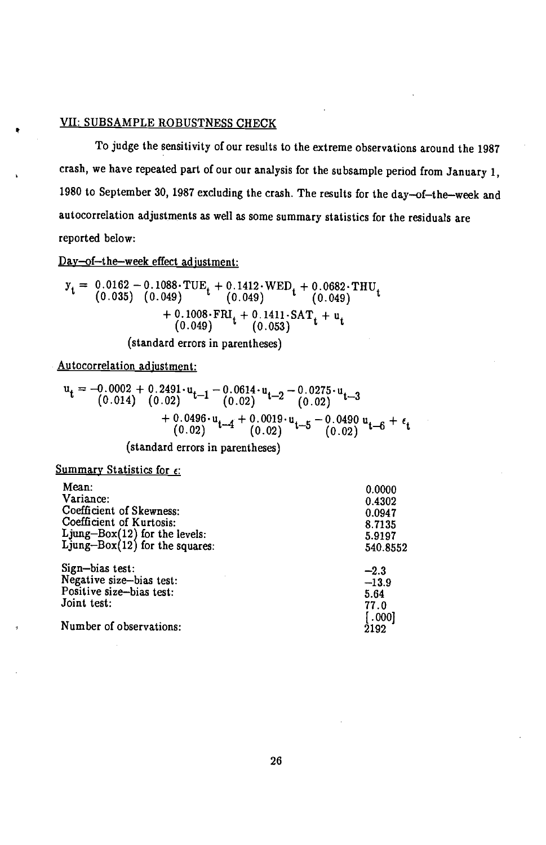## VII: SUBSAMPLE ROBUSTNESS CHECK

To judge the sensitivity of our results to the extreme observations around the 1987 crash, we have repeated part of our our analysis for the subsample period from January 1, 1980 to September 30, 1987 excluding the crash. The results for the day—of—the—week and autocorrelation adjustments as well as some summary statistics for the residuals are reported below:

Day—of—the—week effect adjustment:

$$
y_{t} = 0.0162 - 0.1088 \cdot TUE_{t} + 0.1412 \cdot WED_{t} + 0.0682 \cdot THU_{t}
$$
  
(0.035) (0.049) (0.049) (0.049)  
+ 0.1008 \cdot FRI\_{t} + 0.1411 \cdot SAT\_{t} + u\_{t}  
(0.049) (0.053)

(standard errors in parentheses)

Autocorrelation adjustment:

$$
u_{t} = -0.0002 + 0.2491 \cdot u_{t-1} - 0.0614 \cdot u_{t-2} - 0.0275 \cdot u_{t-3}
$$
  
\n
$$
+ 0.0496 \cdot u_{t-4} + 0.0019 \cdot u_{t-5} - 0.0490 u_{t-6} + \epsilon_{t}
$$
  
\n
$$
(0.02) \quad t-4 \quad (0.02) \quad t-5 \quad (0.02) \quad t-6 \quad (0.02)
$$

(standard errors in parentheses)

## Summary Statistics for  $\epsilon$ :

| 0.0000   |                                                                                     |
|----------|-------------------------------------------------------------------------------------|
|          |                                                                                     |
|          |                                                                                     |
|          |                                                                                     |
|          |                                                                                     |
| 540.8552 |                                                                                     |
|          |                                                                                     |
|          |                                                                                     |
|          |                                                                                     |
|          |                                                                                     |
|          |                                                                                     |
| 2192     |                                                                                     |
|          | 0.4302<br>0.0947<br>8.7135<br>5.9197<br>$-2.3$<br>$-13.9$<br>5.64<br>77.0<br>[.000] |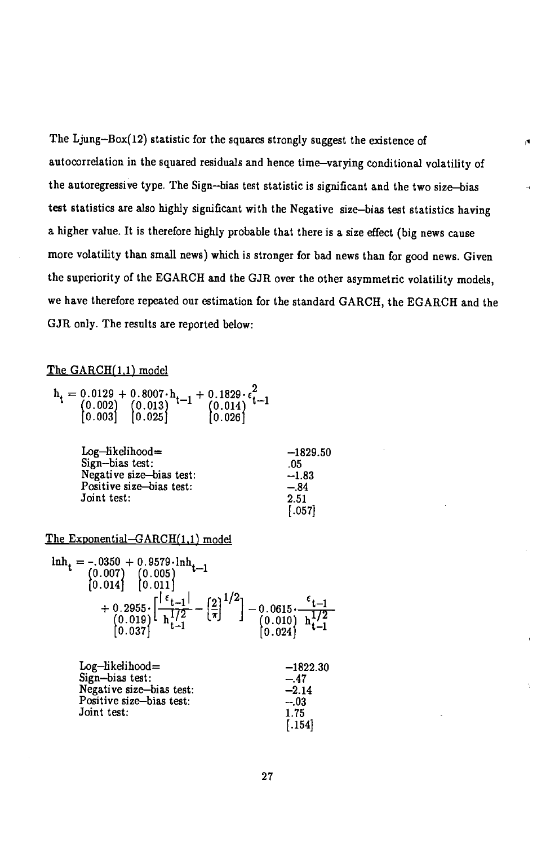The Ljung—Box(12) statistic for the squares strongly suggest the existence of autocorrelation in the squared residuals and hence time—varying conditional volatility of the autoregressive type. The Sign—bias test statistic is significant and the two size—bias test statistics are also highly significant with the Negative size—bias test statistics having a higher value. It is therefore highly probable that there is a size effect (big news cause more volatility than small news) which is stronger for bad news than for good news. Given the superiority of the EGARCII and the GJR over the other asymmetric volatility models, we have therefore repeated our estimation for the standard GARCH, the EGARCH and the GJR only. The results are reported below:

×.

### The GARCH(1,1) model

$$
h_t = \begin{matrix} 0.0129 + 0.8007 \cdot h_{t-1} + 0.1829 \cdot \epsilon_{t-1}^2 \\ (0.002) & (0.013) \\ (0.003) & (0.025) \end{matrix} + \begin{matrix} 0.1829 \cdot \epsilon_{t-1}^2 \\ (0.014) \\ (0.026) \end{matrix}
$$

| $Log-likelihood=$        | $-1829.50$ |
|--------------------------|------------|
| Sign-bias test:          | .05        |
| Negative size-bias test: | $-1.83$    |
| Positive size-bias test: | $-.84$     |
| Joint test:              | 2.51       |
|                          | [.057]     |

### The Exponential $-GARCH(1,1)$  model

$$
\begin{array}{l} \ln \text{h}_{\mathbf{t}} = -.0350 + 0.9579 \cdot \ln \text{h}_{\mathbf{t}-1} \\ (0.007) \quad (0.005) \\ [0.014] \quad [0.011] \\ + 0.2955 \cdot \left[ -\frac{1}{\text{t}-1} \right] - \left[ \frac{2}{\pi} \right]^{1/2} ] - 0.0615 \cdot \frac{\text{t}-1}{\text{t}-1} \\ (0.019) \quad \frac{172}{\text{h} \cdot 1} - \left[ \frac{2}{\pi} \right] \quad (0.010) \quad \frac{172}{\text{h} \cdot 1} \\ [0.024] \end{array}
$$

| $Log-likelihood=$        | $-1822.30$ |
|--------------------------|------------|
| Sign-bias test:          | $-.47$     |
| Negative size-bias test: | $-2.14$    |
| Positive size-bias test: | $-03$      |
| Joint test:              | 1.75       |
|                          | [.154]     |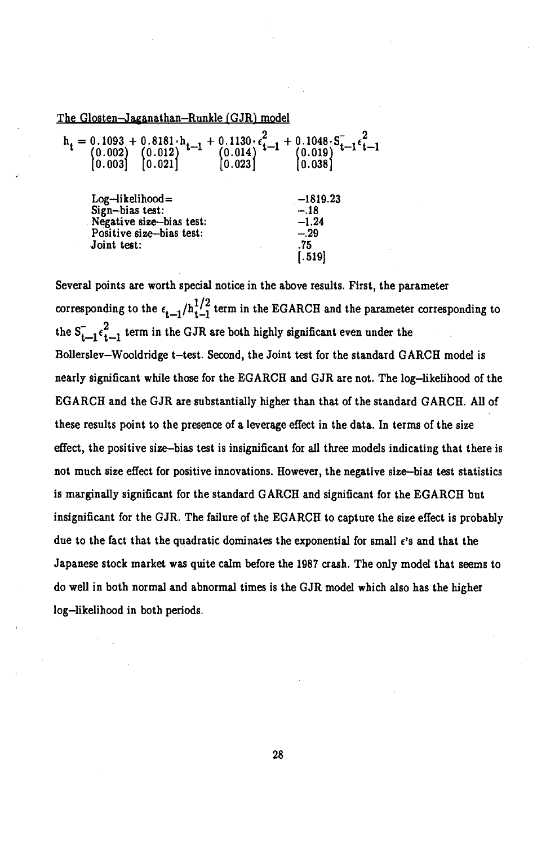The Glosten-Jaganathan-Runkle (GJR) model

| $h_t = \begin{array}{c} 0.1093 + 0.8181 \cdot h_{t-1} \\ (0.002) & (0.012) \\ (0.003) & (0.021) \end{array}$ | + $0.1130 \cdot \epsilon_{t-1}^2$ + $0.1048 \cdot S_{t-1} \epsilon_{t-1}^2$<br>(0.014)<br>(0.023)<br>(0.038) |
|--------------------------------------------------------------------------------------------------------------|--------------------------------------------------------------------------------------------------------------|
| $Log-likelihood=$<br>Sign-bias test:<br>Negative size-bias test:<br>Positive size-bias test:<br>Joint test:  | $-1819.23$<br>$-.18$<br>$-1.24$<br>$-.29$<br>.75<br>$-.519$                                                  |

Several points are worth special notice in the above results. First, the parameter corresponding to the  $\epsilon_{t-1}/h_{t-1}^{1/2}$  term in the EGARCH and the parameter corresponding to the  $S_{t-1} \epsilon_{t-1}^2$  term in the GJR are both highly significant even under the Bollerslev—Wooldridge t—test. Second, the Joint test for the standard GARCH model is nearly significant while those for the EGARCH and Gilt are not. The log—likelihood of the EGARCH and the GJR are substantially higher than that of the standard GARCH. All of these results point to the presence of a leverage effect in the data. In terms of the size effect, the positive size—bias test is insignificant for all three models indicating that there is not much size effect for positive innovations. However, the negative size—bias test statistics is marginally significant for the standard GARCH and significant for the EGARCH but insignificant for the GJR. The failure of the EGARCH to capture the size effect is probably due to the fact that the quadratic dominates the exponential for small  $\epsilon$ 's and that the Japanese stock market was quite calm before the 1987 crash. The only model that seems to do well in both normal and abnormal times is the Gilt model which also has the higher log—likelihood in both periods.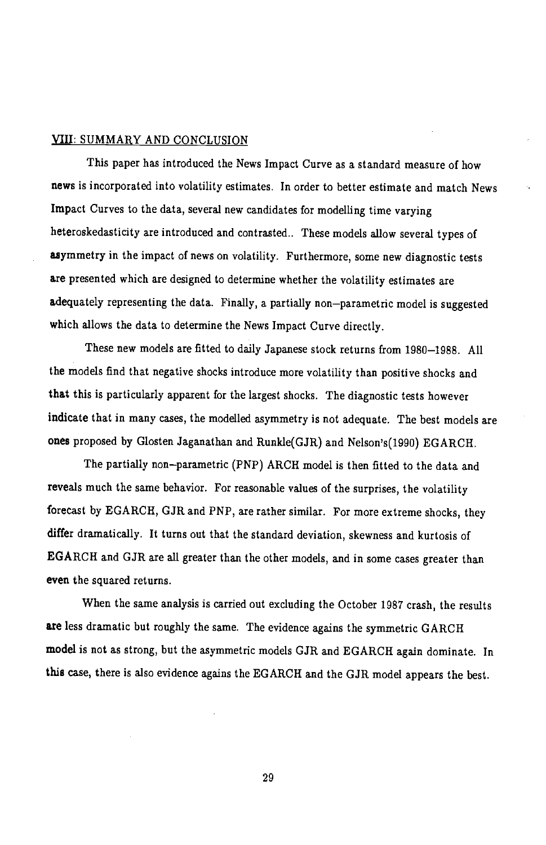### VIII: SUMMARY AND CONCLUSION

This paper has introduced the News Impact Curve as a standard measure of how news is incorporated into volatility estimates. In order to better estimate and match News Impact Curves to the data, several new candidates for modelling time varying heteroskedasticity are introduced and contrasted.. These models allow several types of asymmetry in the impact of news on volatility. Furthermore, some new diagnostic tests are presented which are designed to determine whether the volatility estimates are adequately representing the data. Finally, a partially non—parametric model is suggested which allows the data to determine the News Impact Curve directly.

These new models are fitted to daily Japanese stock returns from 1980—1988. All the models find that negative shocks introduce more volatility than positive shocks and that this is particularly apparent for the largest shocks. The diagnostic tests however indicate that in many cases, the modelled asymmetry is not adequate. The best models are ones proposed by Glosten Jaganathan and Runkle(GJR) and Nelson's(1990) EGARCH.

The partially non—parametric (PNP) ARCH model is then fitted to the data and reveals much the same behavior. For reasonable values of the surprises, the volatility forecast by EGARCH, GJR and PNP, are rather similar. For more extreme shocks, they differ dramatically. It turns out that the standard deviation, skewness and kurtosis of EGARCH and GJR are all greater than the other models, and in some cases greater than even the squared returns.

When the same analysis is carried out excluding the October 1987 crash, the results are less dramatic but roughly the same. The evidence agains the symmetric GARCH model is not as strong, but the asymmetric models GJR and EGARCH again dominate. In this case, there is also evidence agains the EGARCH and the GJR model appears the best.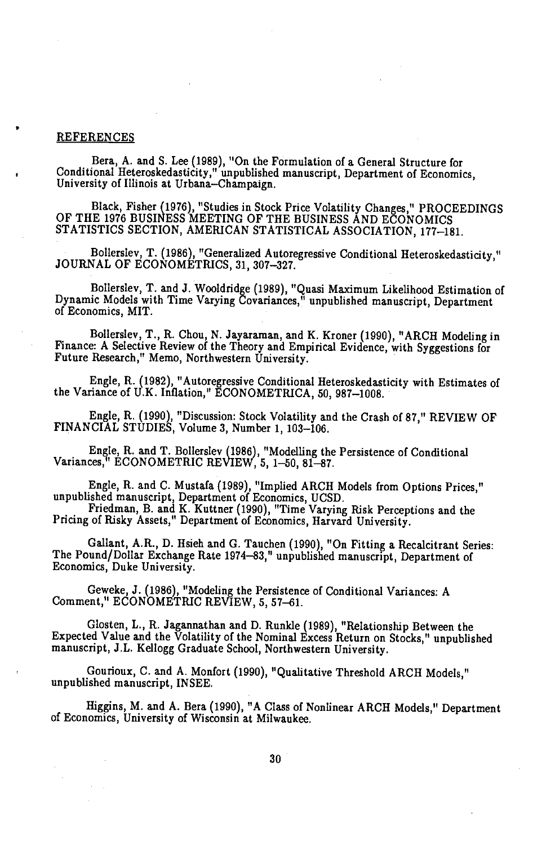## **REFERENCES**

Bera, A. and S. Lee (1989), "On the Formulation of a General Structure for Conditional Heteroskedasticity," unpublished manuscript, Department of Economics,<br>University of Illinois at Urbana—Champaign.

Black, Fisher (1976), "Studies in Stock Price Volatility Changes," PROCEEDINGS OF THE 1976 BUSINESS MEETING OF THE BUSINESS AND ECONOMICS STATISTICS SECTION, AMERICAN STATISTICAL ASSOCIATION, 177—181.

Bollerslev, T. (1986), "Generalized Autoregressive Conditional Heteroskedasticity," JOURNAL OF ECONOMETRICS, 31, 307—327.

Bollerslev, T. and J. Wooldridge (1989), "Quasi Maximum Likelihood Estimation of Dynamic Models with Time Varying Covariances," unpublished manuscript, Department of Economics, MIT.

Bollerslev, T., R. Chou, N. Jayaraman, and K. Kroner (1990), "ARCH Modeling in Finance: A Selective Review of the Theory and Empirical Evidence, with Syggestions for Future Research," Memo, Northwestern University.

Engle, R. (1982), "Autoregressive Conditional Heteroskedasticity with Estimates of the Variance of U.K. Inflation," ECONOMETRICA, 50, 987—1008.

Engle, R. (1990), "Discussion: Stock Volatility and the Crash of 87," REVIEW OF FINANCIAL STUDIES, Volume 3, Number 1, 103—106.

Engle, R. and T. Bollerslev (1986), "Modelling the Persistence of Conditional Variances," ECONOMETRIC REVIEW, 5, 1—50, 81—87.

Engle, R. and C. Mustafa (1989), "Implied ARCH Models from Options Prices,"

unpublished manuscript, Department of Economics, UCSD. Friedman, B. and K. Kuttner (1990), "Time Varying Risk Perceptions and the Pricing of Risky Assets," Department of Economics, Harvard University.

Gallant, A.R., D. Hsieh and C. Tauchen (1990), "On Fitting a Recalcitrant Series: The Pound/Dollar Exchange Rate 1974—83," unpublished manuscript, Department of Economics, Duke University.

Geweke, J. (1986), "Modeling the Persistence of Conditional Variances: A Comment," ECONOMETRIC REVIEW, 5, 57—61.

Glosten, L., R. Jagannathan and D. Runkle (1989), "Relationship Between the Expected Value and the Volatility of the Nominal Excess Return on Stocks," unpublished manuscript, J.L. Kellogg Graduate School, Northwestern University.

Gourioux, C. and A. Monfort (1990), "Qualitative Threshold ARCH Models," unpublished manuscript, INSEE.

Higgins, M. and A. Bera (1990), "A Class of Nonlinear ARCH Models," Department of Economics, University of Wisconsin at Milwaukee.